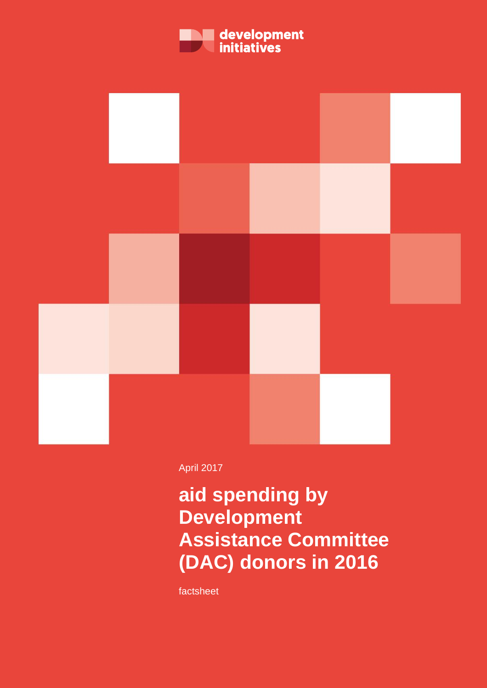



April 2017

# **aid spending by Development Assistance Committee (DAC) donors in 2016**

factsheet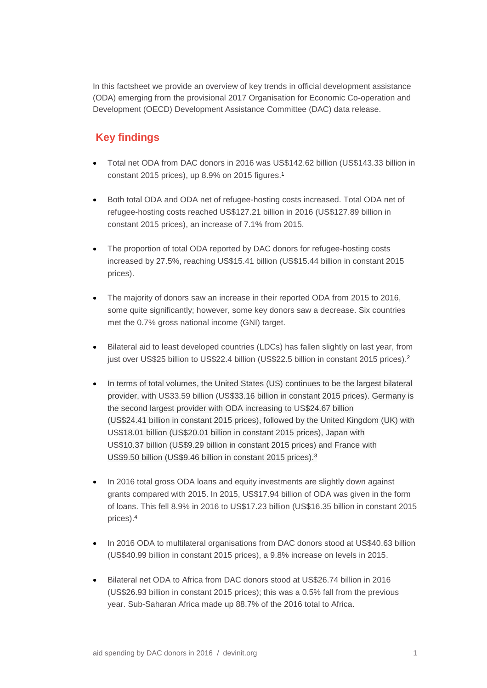In this factsheet we provide an overview of key trends in official development assistance (ODA) emerging from the provisional 2017 Organisation for Economic Co-operation and Development (OECD) Development Assistance Committee (DAC) data release.

## **Key findings**

- Total net ODA from DAC donors in 2016 was US\$142.62 billion (US\$143.33 billion in constant 2015 prices), up 8.9% on 2015 figures.<sup>1</sup>
- Both total ODA and ODA net of refugee-hosting costs increased. Total ODA net of refugee-hosting costs reached US\$127.21 billion in 2016 (US\$127.89 billion in constant 2015 prices), an increase of 7.1% from 2015.
- The proportion of total ODA reported by DAC donors for refugee-hosting costs increased by 27.5%, reaching US\$15.41 billion (US\$15.44 billion in constant 2015 prices).
- The majority of donors saw an increase in their reported ODA from 2015 to 2016, some quite significantly; however, some key donors saw a decrease. Six countries met the 0.7% gross national income (GNI) target.
- Bilateral aid to least developed countries (LDCs) has fallen slightly on last year, from just over US\$25 billion to US\$22.4 billion (US\$22.5 billion in constant 2015 prices). 2
- In terms of total volumes, the United States (US) continues to be the largest bilateral provider, with US33.59 billion (US\$33.16 billion in constant 2015 prices). Germany is the second largest provider with ODA increasing to US\$24.67 billion (US\$24.41 billion in constant 2015 prices), followed by the United Kingdom (UK) with US\$18.01 billion (US\$20.01 billion in constant 2015 prices), Japan with US\$10.37 billion (US\$9.29 billion in constant 2015 prices) and France with US\$9.50 billion (US\$9.46 billion in constant 2015 prices).<sup>3</sup>
- In 2016 total gross ODA loans and equity investments are slightly down against grants compared with 2015. In 2015, US\$17.94 billion of ODA was given in the form of loans. This fell 8.9% in 2016 to US\$17.23 billion (US\$16.35 billion in constant 2015 prices). 4
- In 2016 ODA to multilateral organisations from DAC donors stood at US\$40.63 billion (US\$40.99 billion in constant 2015 prices), a 9.8% increase on levels in 2015.
- Bilateral net ODA to Africa from DAC donors stood at US\$26.74 billion in 2016 (US\$26.93 billion in constant 2015 prices); this was a 0.5% fall from the previous year. Sub-Saharan Africa made up 88.7% of the 2016 total to Africa.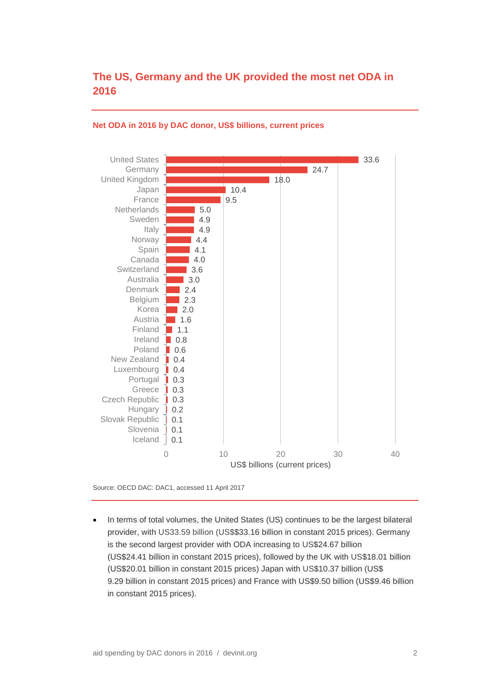## **The US, Germany and the UK provided the most net ODA in 2016**



### **Net ODA in 2016 by DAC donor, US\$ billions, current prices**

Source: OECD DAC: DAC1, accessed 11 April 2017

• In terms of total volumes, the United States (US) continues to be the largest bilateral provider, with US33.59 billion (US\$\$33.16 billion in constant 2015 prices). Germany is the second largest provider with ODA increasing to US\$24.67 billion (US\$24.41 billion in constant 2015 prices), followed by the UK with US\$18.01 billion (US\$20.01 billion in constant 2015 prices) Japan with US\$10.37 billion (US\$ 9.29 billion in constant 2015 prices) and France with US\$9.50 billion (US\$9.46 billion in constant 2015 prices).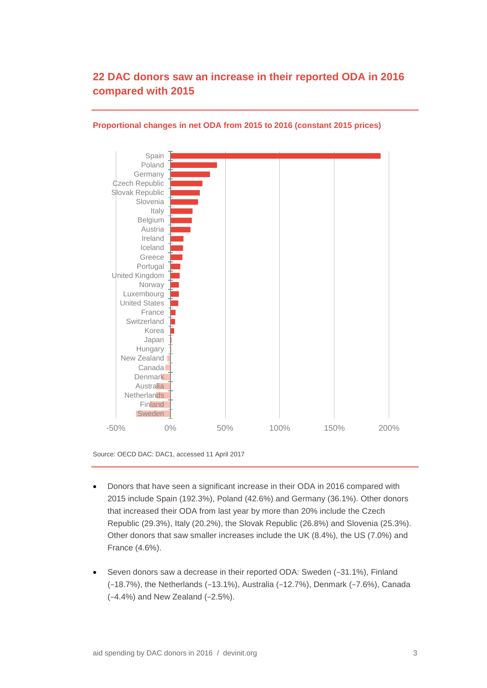## **22 DAC donors saw an increase in their reported ODA in 2016 compared with 2015**



## **Proportional changes in net ODA from 2015 to 2016 (constant 2015 prices)**

Source: OECD DAC: DAC1, accessed 11 April 2017

- Donors that have seen a significant increase in their ODA in 2016 compared with 2015 include Spain (192.3%), Poland (42.6%) and Germany (36.1%). Other donors that increased their ODA from last year by more than 20% include the Czech Republic (29.3%), Italy (20.2%), the Slovak Republic (26.8%) and Slovenia (25.3%). Other donors that saw smaller increases include the UK (8.4%), the US (7.0%) and France (4.6%).
- Seven donors saw a decrease in their reported ODA: Sweden (−31.1%), Finland (−18.7%), the Netherlands (−13.1%), Australia (−12.7%), Denmark (−7.6%), Canada (−4.4%) and New Zealand (−2.5%).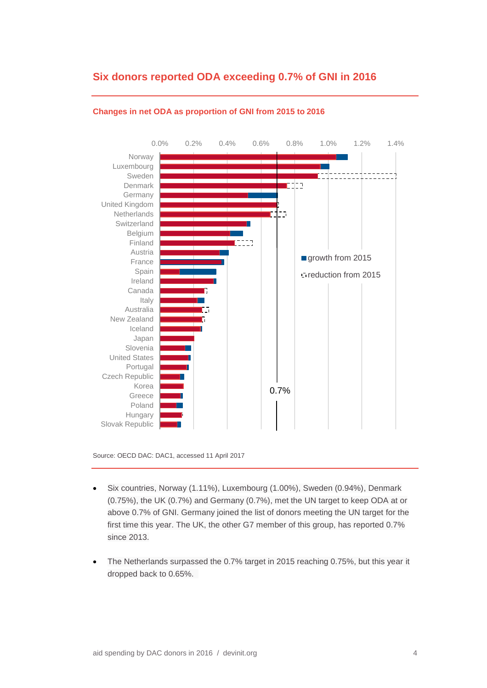## **Six donors reported ODA exceeding 0.7% of GNI in 2016**



## **Changes in net ODA as proportion of GNI from 2015 to 2016**

Source: OECD DAC: DAC1, accessed 11 April 2017

- Six countries, Norway (1.11%), Luxembourg (1.00%), Sweden (0.94%), Denmark (0.75%), the UK (0.7%) and Germany (0.7%), met the UN target to keep ODA at or above 0.7% of GNI. Germany joined the list of donors meeting the UN target for the first time this year. The UK, the other G7 member of this group, has reported 0.7% since 2013.
- The Netherlands surpassed the 0.7% target in 2015 reaching 0.75%, but this year it dropped back to 0.65%.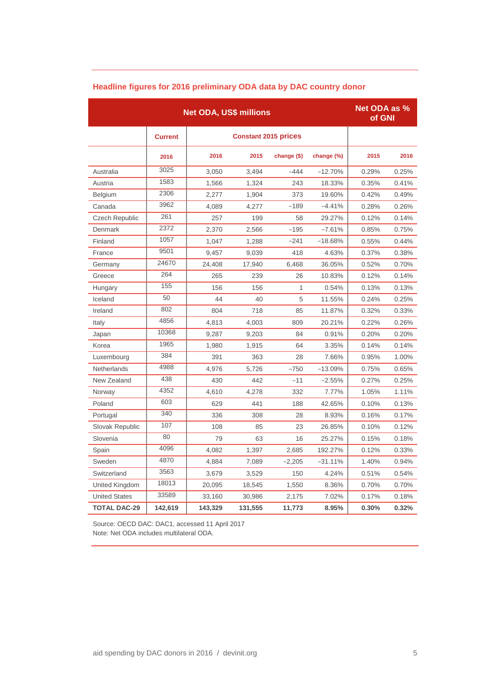|                      | <b>Net ODA as %</b><br>of GNI |         |         |              |            |       |       |
|----------------------|-------------------------------|---------|---------|--------------|------------|-------|-------|
|                      | <b>Current</b>                |         |         |              |            |       |       |
|                      | 2016                          | 2016    | 2015    | change $($)$ | change (%) | 2015  | 2016  |
| Australia            | 3025                          | 3,050   | 3,494   | -444         | $-12.70%$  | 0.29% | 0.25% |
| Austria              | 1583                          | 1,566   | 1,324   | 243          | 18.33%     | 0.35% | 0.41% |
| Belgium              | 2306                          | 2,277   | 1,904   | 373          | 19.60%     | 0.42% | 0.49% |
| Canada               | 3962                          | 4,089   | 4,277   | $-189$       | $-4.41%$   | 0.28% | 0.26% |
| Czech Republic       | 261                           | 257     | 199     | 58           | 29.27%     | 0.12% | 0.14% |
| Denmark              | 2372                          | 2,370   | 2,566   | $-195$       | $-7.61%$   | 0.85% | 0.75% |
| Finland              | 1057                          | 1,047   | 1,288   | $-241$       | $-18.68%$  | 0.55% | 0.44% |
| France               | 9501                          | 9,457   | 9,039   | 418          | 4.63%      | 0.37% | 0.38% |
| Germany              | 24670                         | 24,408  | 17,940  | 6,468        | 36.05%     | 0.52% | 0.70% |
| Greece               | 264                           | 265     | 239     | 26           | 10.83%     | 0.12% | 0.14% |
| Hungary              | 155                           | 156     | 156     | 1            | 0.54%      | 0.13% | 0.13% |
| Iceland              | 50                            | 44      | 40      | 5            | 11.55%     | 0.24% | 0.25% |
| Ireland              | 802                           | 804     | 718     | 85           | 11.87%     | 0.32% | 0.33% |
| Italy                | 4856                          | 4,813   | 4,003   | 809          | 20.21%     | 0.22% | 0.26% |
| Japan                | 10368                         | 9,287   | 9,203   | 84           | 0.91%      | 0.20% | 0.20% |
| Korea                | 1965                          | 1,980   | 1,915   | 64           | 3.35%      | 0.14% | 0.14% |
| Luxembourg           | 384                           | 391     | 363     | 28           | 7.66%      | 0.95% | 1.00% |
| <b>Netherlands</b>   | 4988                          | 4,976   | 5,726   | $-750$       | $-13.09%$  | 0.75% | 0.65% |
| New Zealand          | 438                           | 430     | 442     | $-11$        | $-2.55\%$  | 0.27% | 0.25% |
| Norway               | 4352                          | 4,610   | 4,278   | 332          | 7.77%      | 1.05% | 1.11% |
| Poland               | 603                           | 629     | 441     | 188          | 42.65%     | 0.10% | 0.13% |
| Portugal             | 340                           | 336     | 308     | 28           | 8.93%      | 0.16% | 0.17% |
| Slovak Republic      | 107                           | 108     | 85      | 23           | 26.85%     | 0.10% | 0.12% |
| Slovenia             | 80                            | 79      | 63      | 16           | 25.27%     | 0.15% | 0.18% |
| Spain                | 4096                          | 4,082   | 1,397   | 2,685        | 192.27%    | 0.12% | 0.33% |
| Sweden               | 4870                          | 4,884   | 7,089   | $-2,205$     | $-31.11%$  | 1.40% | 0.94% |
| Switzerland          | 3563                          | 3,679   | 3,529   | 150          | 4.24%      | 0.51% | 0.54% |
| United Kingdom       | 18013                         | 20,095  | 18,545  | 1,550        | 8.36%      | 0.70% | 0.70% |
| <b>United States</b> | 33589                         | 33,160  | 30,986  | 2,175        | 7.02%      | 0.17% | 0.18% |
| <b>TOTAL DAC-29</b>  | 142,619                       | 143,329 | 131,555 | 11,773       | 8.95%      | 0.30% | 0.32% |

## **Headline figures for 2016 preliminary ODA data by DAC country donor**

Source: OECD DAC: DAC1, accessed 11 April 2017 Note: Net ODA includes multilateral ODA.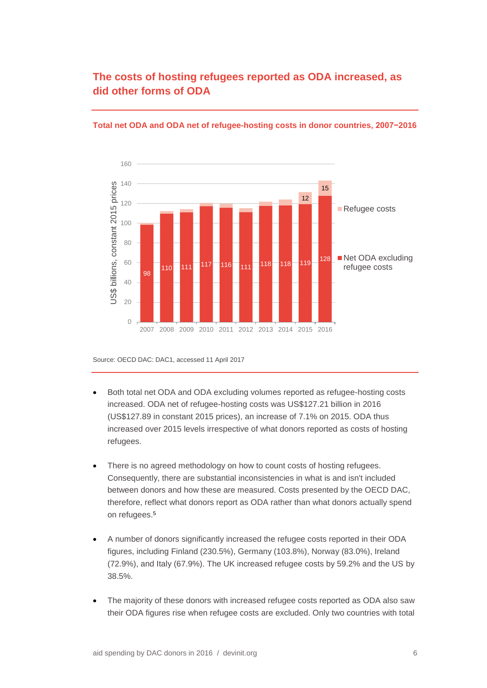## **The costs of hosting refugees reported as ODA increased, as did other forms of ODA**



### **Total net ODA and ODA net of refugee-hosting costs in donor countries, 2007−2016**

Source: OECD DAC: DAC1, accessed 11 April 2017

- Both total net ODA and ODA excluding volumes reported as refugee-hosting costs increased. ODA net of refugee-hosting costs was US\$127.21 billion in 2016 (US\$127.89 in constant 2015 prices), an increase of 7.1% on 2015. ODA thus increased over 2015 levels irrespective of what donors reported as costs of hosting refugees.
- There is no agreed methodology on how to count costs of hosting refugees. Consequently, there are substantial inconsistencies in what is and isn't included between donors and how these are measured. Costs presented by the OECD DAC, therefore, reflect what donors report as ODA rather than what donors actually spend on refugees.<sup>5</sup>
- A number of donors significantly increased the refugee costs reported in their ODA figures, including Finland (230.5%), Germany (103.8%), Norway (83.0%), Ireland (72.9%), and Italy (67.9%). The UK increased refugee costs by 59.2% and the US by 38.5%.
- The majority of these donors with increased refugee costs reported as ODA also saw their ODA figures rise when refugee costs are excluded. Only two countries with total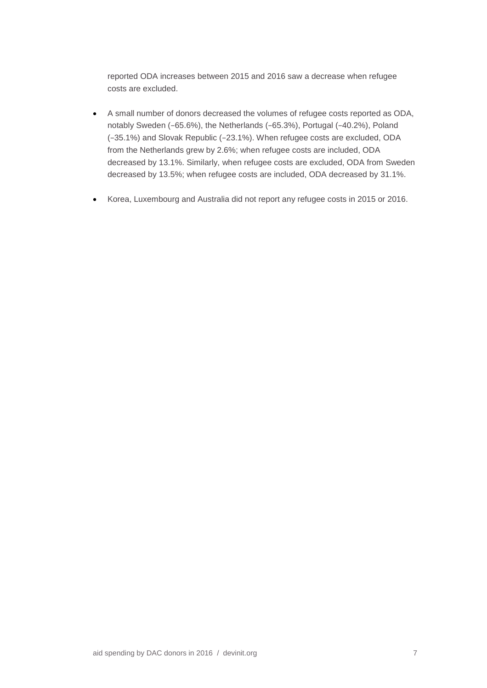reported ODA increases between 2015 and 2016 saw a decrease when refugee costs are excluded.

- A small number of donors decreased the volumes of refugee costs reported as ODA, notably Sweden (−65.6%), the Netherlands (−65.3%), Portugal (−40.2%), Poland (−35.1%) and Slovak Republic (−23.1%). When refugee costs are excluded, ODA from the Netherlands grew by 2.6%; when refugee costs are included, ODA decreased by 13.1%. Similarly, when refugee costs are excluded, ODA from Sweden decreased by 13.5%; when refugee costs are included, ODA decreased by 31.1%.
- Korea, Luxembourg and Australia did not report any refugee costs in 2015 or 2016.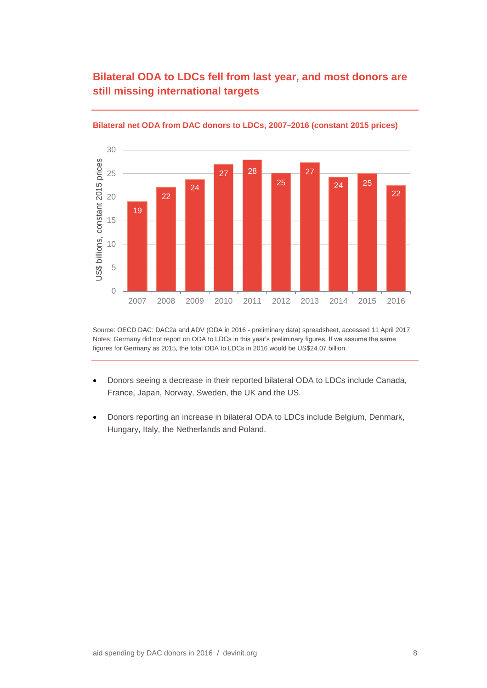# **Bilateral ODA to LDCs fell from last year, and most donors are still missing international targets**



#### **Bilateral net ODA from DAC donors to LDCs, 2007−2016 (constant 2015 prices)**

Source: OECD DAC: DAC2a and ADV (ODA in 2016 - preliminary data) spreadsheet, accessed 11 April 2017 Notes: Germany did not report on ODA to LDCs in this year's preliminary figures. If we assume the same figures for Germany as 2015, the total ODA to LDCs in 2016 would be US\$24.07 billion.

- Donors seeing a decrease in their reported bilateral ODA to LDCs include Canada, France, Japan, Norway, Sweden, the UK and the US.
- Donors reporting an increase in bilateral ODA to LDCs include Belgium, Denmark, Hungary, Italy, the Netherlands and Poland.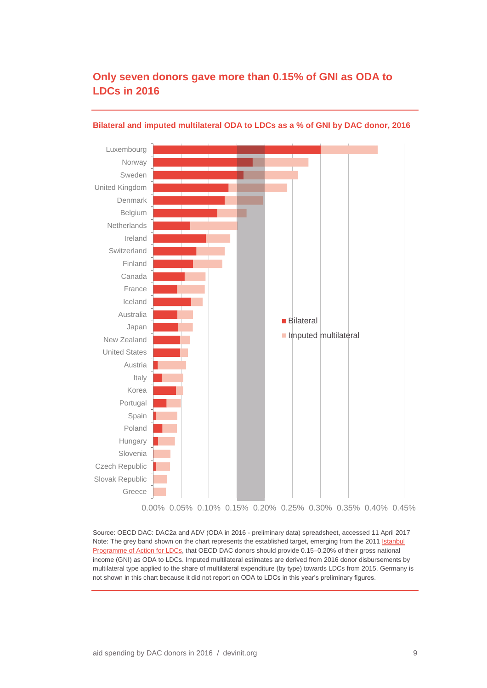## **Only seven donors gave more than 0.15% of GNI as ODA to LDCs in 2016**



### **Bilateral and imputed multilateral ODA to LDCs as a % of GNI by DAC donor, 2016**

Source: OECD DAC: DAC2a and ADV (ODA in 2016 - preliminary data) spreadsheet, accessed 11 April 2017 Note: The grey band shown on the chart represents the established target, emerging from the 2011 Istanbul [Programme of Action for LDCs,](http://unohrlls.org/UserFiles/File/IPoA.pdf) that OECD DAC donors should provide 0.15–0.20% of their gross national income (GNI) as ODA to LDCs. Imputed multilateral estimates are derived from 2016 donor disbursements by multilateral type applied to the share of multilateral expenditure (by type) towards LDCs from 2015. Germany is not shown in this chart because it did not report on ODA to LDCs in this year's preliminary figures.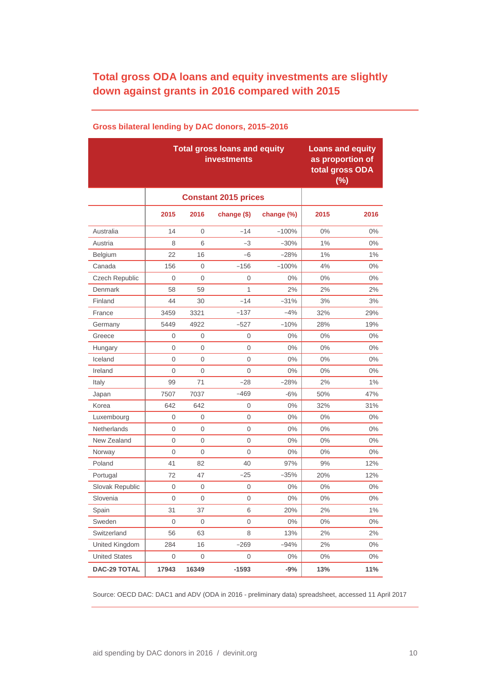# **Total gross ODA loans and equity investments are slightly down against grants in 2016 compared with 2015**

|                      |          | <b>Total gross loans and equity</b><br><b>investments</b> | <b>Loans and equity</b><br>as proportion of<br>total gross ODA<br>(%) |            |       |       |
|----------------------|----------|-----------------------------------------------------------|-----------------------------------------------------------------------|------------|-------|-------|
|                      |          |                                                           |                                                                       |            |       |       |
|                      | 2015     | 2016                                                      | change (\$)                                                           | change (%) | 2015  | 2016  |
| Australia            | 14       | 0                                                         | $-14$                                                                 | $-100%$    | $0\%$ | $0\%$ |
| Austria              | 8        | 6                                                         | $-3$                                                                  | $-30%$     | 1%    | $0\%$ |
| Belgium              | 22       | 16                                                        | -6                                                                    | -28%       | 1%    | $1\%$ |
| Canada               | 156      | $\mathbf{0}$                                              | $-156$                                                                | $-100%$    | 4%    | $0\%$ |
| Czech Republic       | 0        | $\Omega$                                                  | 0                                                                     | $0\%$      | $0\%$ | $0\%$ |
| Denmark              | 58       | 59                                                        | 1                                                                     | 2%         | 2%    | 2%    |
| Finland              | 44       | 30                                                        | $-14$                                                                 | $-31%$     | 3%    | 3%    |
| France               | 3459     | 3321                                                      | $-137$                                                                | $-4%$      | 32%   | 29%   |
| Germany              | 5449     | 4922                                                      | -527                                                                  | $-10%$     | 28%   | 19%   |
| Greece               | 0        | 0                                                         | 0                                                                     | $0\%$      | 0%    | $0\%$ |
| Hungary              | 0        | 0                                                         | $\overline{0}$                                                        | 0%         | 0%    | $0\%$ |
| Iceland              | 0        | 0                                                         | 0                                                                     | $0\%$      | 0%    | $0\%$ |
| Ireland              | $\Omega$ | 0                                                         | 0                                                                     | 0%         | $0\%$ | $0\%$ |
| Italy                | 99       | 71                                                        | $-28$                                                                 | $-28%$     | 2%    | $1\%$ |
| Japan                | 7507     | 7037                                                      | -469                                                                  | $-6%$      | 50%   | 47%   |
| Korea                | 642      | 642                                                       | 0                                                                     | $0\%$      | 32%   | 31%   |
| Luxembourg           | 0        | 0                                                         | 0                                                                     | $0\%$      | $0\%$ | $0\%$ |
| <b>Netherlands</b>   | 0        | 0                                                         | 0                                                                     | $0\%$      | 0%    | $0\%$ |
| New Zealand          | 0        | 0                                                         | $\overline{0}$                                                        | 0%         | 0%    | $0\%$ |
| Norway               | 0        | 0                                                         | 0                                                                     | $0\%$      | $0\%$ | $0\%$ |
| Poland               | 41       | 82                                                        | 40                                                                    | 97%        | 9%    | 12%   |
| Portugal             | 72       | 47                                                        | $-25$                                                                 | $-35%$     | 20%   | 12%   |
| Slovak Republic      | 0        | 0                                                         | 0                                                                     | $0\%$      | 0%    | $0\%$ |
| Slovenia             | 0        | 0                                                         | 0                                                                     | $0\%$      | $0\%$ | $0\%$ |
| Spain                | 31       | 37                                                        | 6                                                                     | 20%        | 2%    | $1\%$ |
| Sweden               | 0        | $\mathbf 0$                                               | 0                                                                     | $0\%$      | 0%    | $0\%$ |
| Switzerland          | 56       | 63                                                        | 8                                                                     | 13%        | 2%    | 2%    |
| United Kingdom       | 284      | 16                                                        | $-269$                                                                | $-94%$     | 2%    | 0%    |
| <b>United States</b> | 0        | $\mathbf 0$                                               | $\boldsymbol{0}$                                                      | $0\%$      | $0\%$ | $0\%$ |
| <b>DAC-29 TOTAL</b>  | 17943    | 16349                                                     | $-1593$                                                               | $-9%$      | 13%   | 11%   |

## **Gross bilateral lending by DAC donors, 2015−2016**

Source: OECD DAC: DAC1 and ADV (ODA in 2016 - preliminary data) spreadsheet, accessed 11 April 2017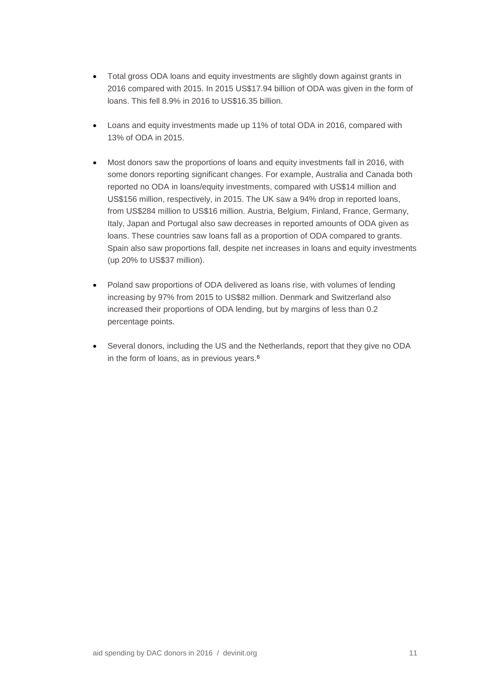- Total gross ODA loans and equity investments are slightly down against grants in 2016 compared with 2015. In 2015 US\$17.94 billion of ODA was given in the form of loans. This fell 8.9% in 2016 to US\$16.35 billion.
- Loans and equity investments made up 11% of total ODA in 2016, compared with 13% of ODA in 2015.
- Most donors saw the proportions of loans and equity investments fall in 2016, with some donors reporting significant changes. For example, Australia and Canada both reported no ODA in loans/equity investments, compared with US\$14 million and US\$156 million, respectively, in 2015. The UK saw a 94% drop in reported loans, from US\$284 million to US\$16 million. Austria, Belgium, Finland, France, Germany, Italy, Japan and Portugal also saw decreases in reported amounts of ODA given as loans. These countries saw loans fall as a proportion of ODA compared to grants. Spain also saw proportions fall, despite net increases in loans and equity investments (up 20% to US\$37 million).
- Poland saw proportions of ODA delivered as loans rise, with volumes of lending increasing by 97% from 2015 to US\$82 million. Denmark and Switzerland also increased their proportions of ODA lending, but by margins of less than 0.2 percentage points.
- Several donors, including the US and the Netherlands, report that they give no ODA in the form of loans, as in previous years.<sup>6</sup>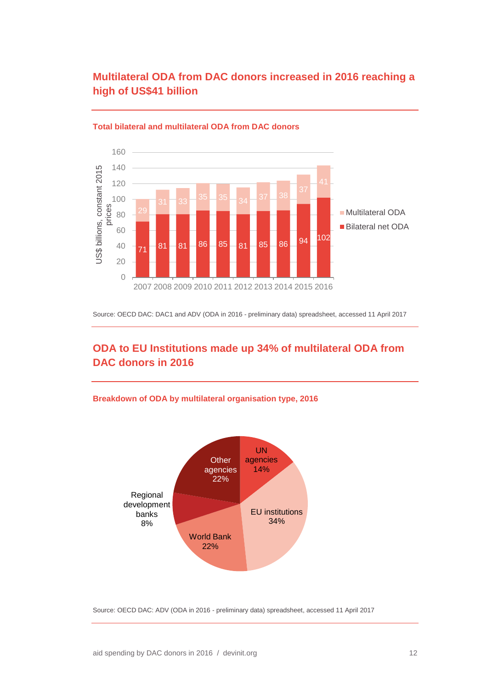# **Multilateral ODA from DAC donors increased in 2016 reaching a high of US\$41 billion**



#### **Total bilateral and multilateral ODA from DAC donors**

Source: OECD DAC: DAC1 and ADV (ODA in 2016 - preliminary data) spreadsheet, accessed 11 April 2017

# **ODA to EU Institutions made up 34% of multilateral ODA from DAC donors in 2016**

## **Breakdown of ODA by multilateral organisation type, 2016**



Source: OECD DAC: ADV (ODA in 2016 - preliminary data) spreadsheet, accessed 11 April 2017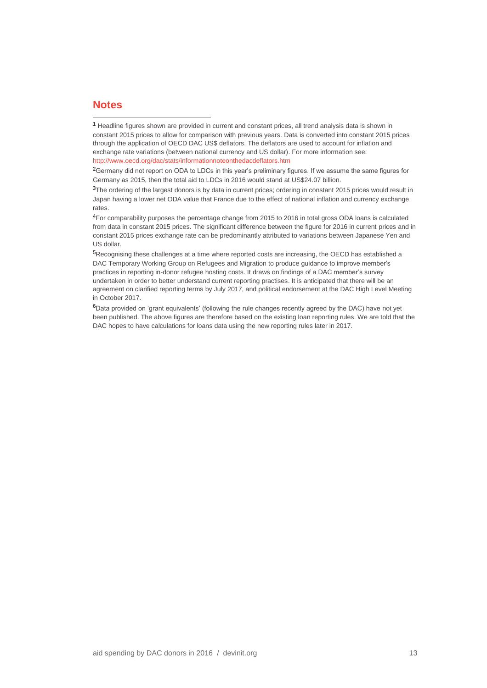## **Notes**

 $\overline{a}$ 

<sup>3</sup>The ordering of the largest donors is by data in current prices; ordering in constant 2015 prices would result in Japan having a lower net ODA value that France due to the effect of national inflation and currency exchange rates.

<sup>1</sup> Headline figures shown are provided in current and constant prices, all trend analysis data is shown in constant 2015 prices to allow for comparison with previous years. Data is converted into constant 2015 prices through the application of OECD DAC US\$ deflators. The deflators are used to account for inflation and exchange rate variations (between national currency and US dollar). For more information see: <http://www.oecd.org/dac/stats/informationnoteonthedacdeflators.htm>

<sup>2</sup>Germany did not report on ODA to LDCs in this year's preliminary figures. If we assume the same figures for Germany as 2015, then the total aid to LDCs in 2016 would stand at US\$24.07 billion.

<sup>4</sup>For comparability purposes the percentage change from 2015 to 2016 in total gross ODA loans is calculated from data in constant 2015 prices. The significant difference between the figure for 2016 in current prices and in constant 2015 prices exchange rate can be predominantly attributed to variations between Japanese Yen and US dollar.

<sup>5</sup>Recognising these challenges at a time where reported costs are increasing, the OECD has established a DAC Temporary Working Group on Refugees and Migration to produce guidance to improve member's practices in reporting in-donor refugee hosting costs. It draws on findings of a DAC member's survey undertaken in order to better understand current reporting practises. It is anticipated that there will be an agreement on clarified reporting terms by July 2017, and political endorsement at the DAC High Level Meeting in October 2017.

<sup>6</sup>Data provided on 'grant equivalents' (following the rule changes recently agreed by the DAC) have not yet been published. The above figures are therefore based on the existing loan reporting rules. We are told that the DAC hopes to have calculations for loans data using the new reporting rules later in 2017.